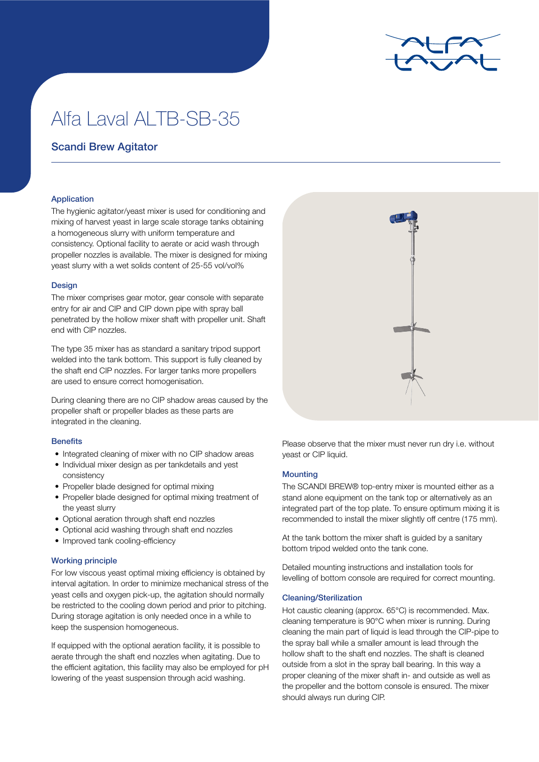

# Alfa Laval ALTB-SB-35

## Scandi Brew Agitator

### Application

The hygienic agitator/yeast mixer is used for conditioning and mixing of harvest yeast in large scale storage tanks obtaining a homogeneous slurry with uniform temperature and consistency. Optional facility to aerate or acid wash through propeller nozzles is available. The mixer is designed for mixing yeast slurry with a wet solids content of 25-55 vol/vol%

#### **Design**

The mixer comprises gear motor, gear console with separate entry for air and CIP and CIP down pipe with spray ball penetrated by the hollow mixer shaft with propeller unit. Shaft end with CIP nozzles.

The type 35 mixer has as standard a sanitary tripod support welded into the tank bottom. This support is fully cleaned by the shaft end CIP nozzles. For larger tanks more propellers are used to ensure correct homogenisation.

During cleaning there are no CIP shadow areas caused by the propeller shaft or propeller blades as these parts are integrated in the cleaning.

#### **Benefits**

- Integrated cleaning of mixer with no CIP shadow areas
- Individual mixer design as per tankdetails and yest consistency
- Propeller blade designed for optimal mixing
- Propeller blade designed for optimal mixing treatment of the yeast slurry
- Optional aeration through shaft end nozzles
- Optional acid washing through shaft end nozzles
- Improved tank cooling-efficiency

#### Working principle

For low viscous yeast optimal mixing efficiency is obtained by interval agitation. In order to minimize mechanical stress of the yeast cells and oxygen pick-up, the agitation should normally be restricted to the cooling down period and prior to pitching. During storage agitation is only needed once in a while to keep the suspension homogeneous.

If equipped with the optional aeration facility, it is possible to aerate through the shaft end nozzles when agitating. Due to the efficient agitation, this facility may also be employed for pH lowering of the yeast suspension through acid washing.



Please observe that the mixer must never run dry i.e. without yeast or CIP liquid.

#### **Mounting**

The SCANDI BREW® top-entry mixer is mounted either as a stand alone equipment on the tank top or alternatively as an integrated part of the top plate. To ensure optimum mixing it is recommended to install the mixer slightly off centre (175 mm).

At the tank bottom the mixer shaft is guided by a sanitary bottom tripod welded onto the tank cone.

Detailed mounting instructions and installation tools for levelling of bottom console are required for correct mounting.

#### Cleaning/Sterilization

Hot caustic cleaning (approx. 65°C) is recommended. Max. cleaning temperature is 90°C when mixer is running. During cleaning the main part of liquid is lead through the CIP-pipe to the spray ball while a smaller amount is lead through the hollow shaft to the shaft end nozzles. The shaft is cleaned outside from a slot in the spray ball bearing. In this way a proper cleaning of the mixer shaft in- and outside as well as the propeller and the bottom console is ensured. The mixer should always run during CIP.